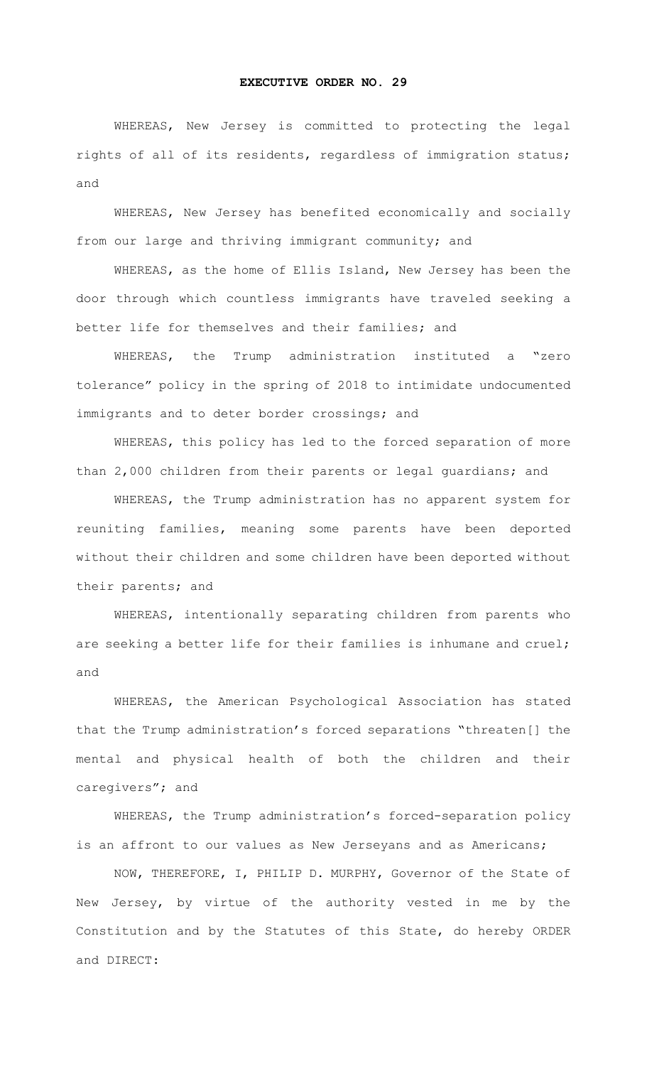## **EXECUTIVE ORDER NO. 29**

WHEREAS, New Jersey is committed to protecting the legal rights of all of its residents, regardless of immigration status; and

WHEREAS, New Jersey has benefited economically and socially from our large and thriving immigrant community; and

WHEREAS, as the home of Ellis Island, New Jersey has been the door through which countless immigrants have traveled seeking a better life for themselves and their families; and

WHEREAS, the Trump administration instituted a "zero tolerance" policy in the spring of 2018 to intimidate undocumented immigrants and to deter border crossings; and

WHEREAS, this policy has led to the forced separation of more than 2,000 children from their parents or legal guardians; and

WHEREAS, the Trump administration has no apparent system for reuniting families, meaning some parents have been deported without their children and some children have been deported without their parents; and

WHEREAS, intentionally separating children from parents who are seeking a better life for their families is inhumane and cruel; and

WHEREAS, the American Psychological Association has stated that the Trump administration's forced separations "threaten[] the mental and physical health of both the children and their caregivers"; and

WHEREAS, the Trump administration's forced-separation policy is an affront to our values as New Jerseyans and as Americans;

NOW, THEREFORE, I, PHILIP D. MURPHY, Governor of the State of New Jersey, by virtue of the authority vested in me by the Constitution and by the Statutes of this State, do hereby ORDER and DIRECT: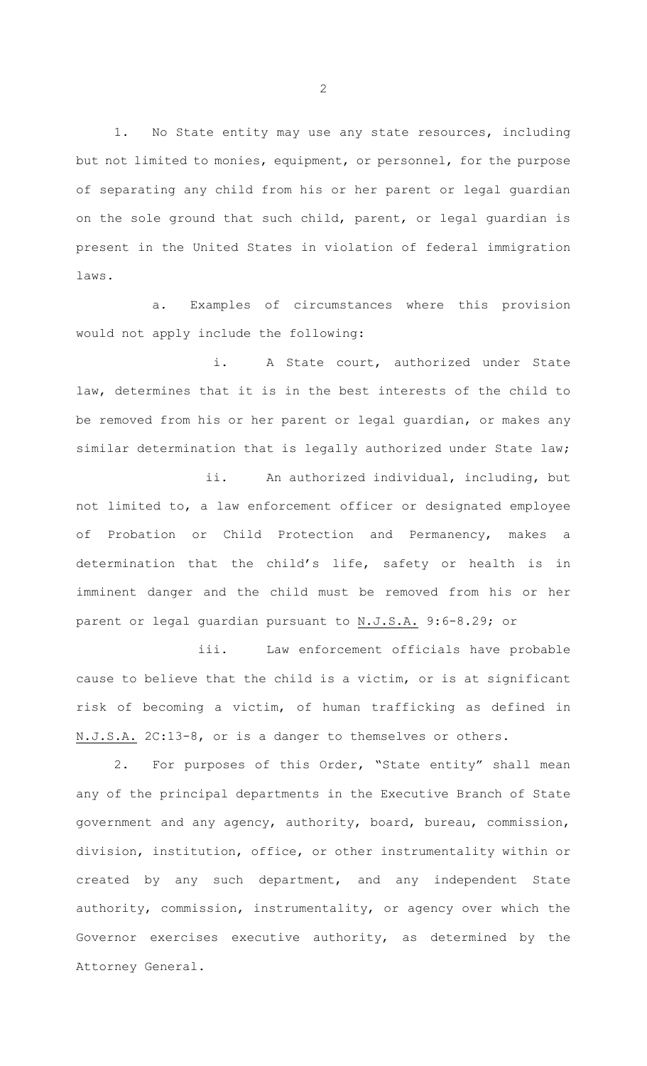1. No State entity may use any state resources, including but not limited to monies, equipment, or personnel, for the purpose of separating any child from his or her parent or legal guardian on the sole ground that such child, parent, or legal guardian is present in the United States in violation of federal immigration laws.

a. Examples of circumstances where this provision would not apply include the following:

i. A State court, authorized under State law, determines that it is in the best interests of the child to be removed from his or her parent or legal guardian, or makes any similar determination that is legally authorized under State law;

ii. An authorized individual, including, but not limited to, a law enforcement officer or designated employee of Probation or Child Protection and Permanency, makes a determination that the child's life, safety or health is in imminent danger and the child must be removed from his or her parent or legal guardian pursuant to N.J.S.A. 9:6-8.29; or

iii. Law enforcement officials have probable cause to believe that the child is a victim, or is at significant risk of becoming a victim, of human trafficking as defined in N.J.S.A. 2C:13-8, or is a danger to themselves or others.

2. For purposes of this Order, "State entity" shall mean any of the principal departments in the Executive Branch of State government and any agency, authority, board, bureau, commission, division, institution, office, or other instrumentality within or created by any such department, and any independent State authority, commission, instrumentality, or agency over which the Governor exercises executive authority, as determined by the Attorney General.

2